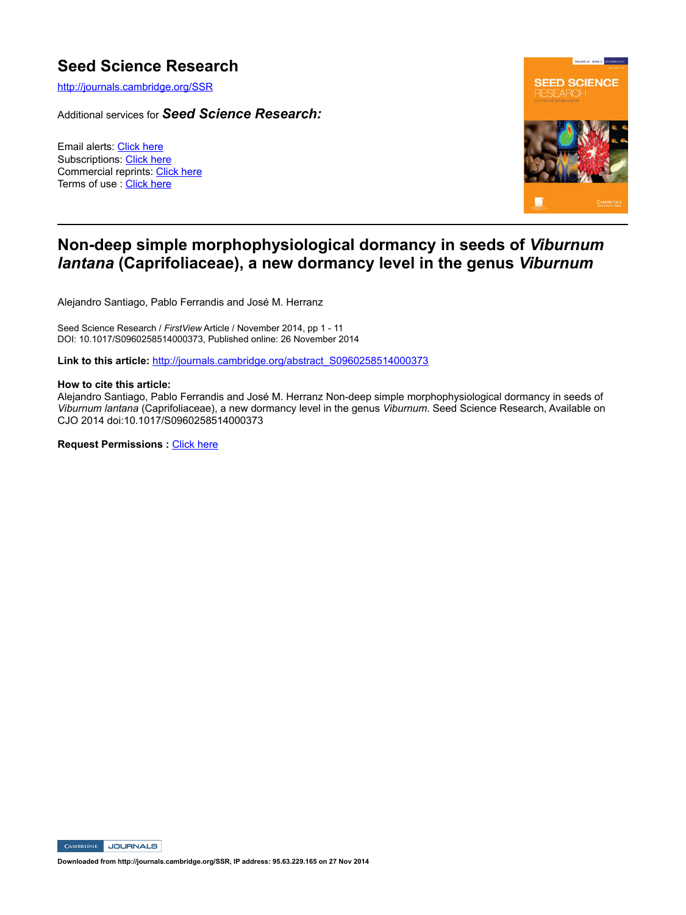# **Seed Science Research**

http://journals.cambridge.org/SSR

Additional services for *Seed Science Research:*

Email alerts: Click here Subscriptions: Click here Commercial reprints: Click here Terms of use : Click here



## **Non-deep simple morphophysiological dormancy in seeds of** *Viburnum lantana* **(Caprifoliaceae), a new dormancy level in the genus** *Viburnum*

Alejandro Santiago, Pablo Ferrandis and José M. Herranz

Seed Science Research / *FirstView* Article / November 2014, pp 1 - 11 DOI: 10.1017/S0960258514000373, Published online: 26 November 2014

**Link to this article:** http://journals.cambridge.org/abstract\_S0960258514000373

#### **How to cite this article:**

Alejandro Santiago, Pablo Ferrandis and José M. Herranz Non-deep simple morphophysiological dormancy in seeds of *Viburnum lantana* (Caprifoliaceae), a new dormancy level in the genus *Viburnum*. Seed Science Research, Available on CJO 2014 doi:10.1017/S0960258514000373

**Request Permissions :** Click here

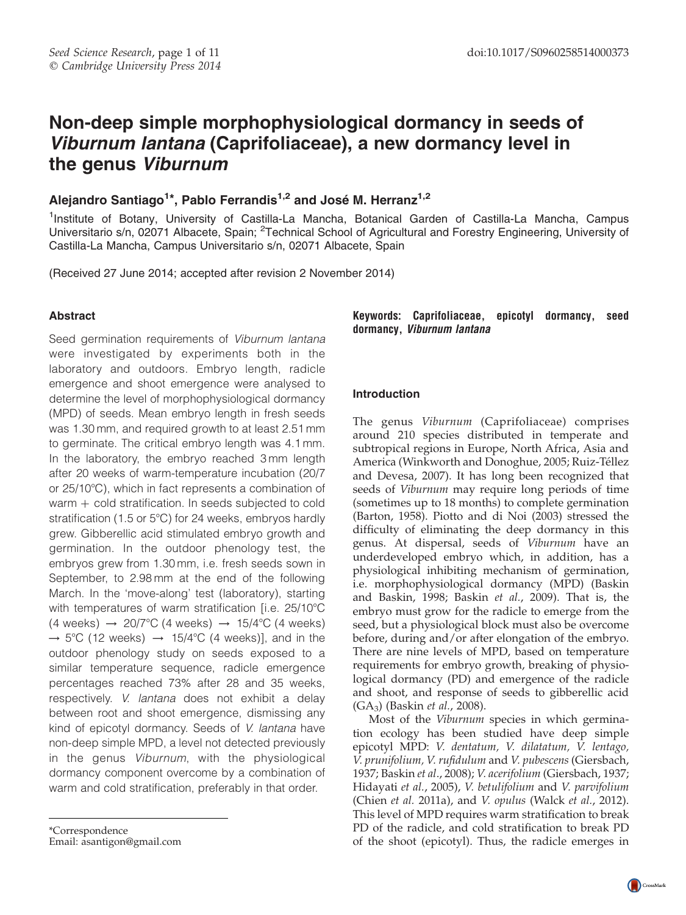# Non-deep simple morphophysiological dormancy in seeds of Viburnum lantana (Caprifoliaceae), a new dormancy level in the genus Viburnum

## Alejandro Santiago<sup>1\*</sup>, Pablo Ferrandis<sup>1,2</sup> and José M. Herranz<sup>1,2</sup>

<sup>1</sup>Institute of Botany, University of Castilla-La Mancha, Botanical Garden of Castilla-La Mancha, Campus Universitario s/n, 02071 Albacete, Spain; <sup>2</sup>Technical School of Agricultural and Forestry Engineering, University of Castilla-La Mancha, Campus Universitario s/n, 02071 Albacete, Spain

(Received 27 June 2014; accepted after revision 2 November 2014)

## Abstract

Seed germination requirements of Viburnum lantana were investigated by experiments both in the laboratory and outdoors. Embryo length, radicle emergence and shoot emergence were analysed to determine the level of morphophysiological dormancy (MPD) of seeds. Mean embryo length in fresh seeds was 1.30 mm, and required growth to at least 2.51 mm to germinate. The critical embryo length was 4.1 mm. In the laboratory, the embryo reached 3 mm length after 20 weeks of warm-temperature incubation (20/7 or 25/10°C), which in fact represents a combination of warm  $+$  cold stratification. In seeds subjected to cold stratification (1.5 or 5°C) for 24 weeks, embryos hardly grew. Gibberellic acid stimulated embryo growth and germination. In the outdoor phenology test, the embryos grew from 1.30 mm, i.e. fresh seeds sown in September, to 2.98 mm at the end of the following March. In the 'move-along' test (laboratory), starting with temperatures of warm stratification [i.e. 25/10°C  $(4 \text{ weeks}) \rightarrow 20/7^{\circ}C (4 \text{ weeks}) \rightarrow 15/4^{\circ}C (4 \text{ weeks})$  $\rightarrow$  5°C (12 weeks)  $\rightarrow$  15/4°C (4 weeks)], and in the outdoor phenology study on seeds exposed to a similar temperature sequence, radicle emergence percentages reached 73% after 28 and 35 weeks, respectively. V. lantana does not exhibit a delay between root and shoot emergence, dismissing any kind of epicotyl dormancy. Seeds of V. lantana have non-deep simple MPD, a level not detected previously in the genus Viburnum, with the physiological dormancy component overcome by a combination of warm and cold stratification, preferably in that order.

Email: asantigon@gmail.com

Keywords: Caprifoliaceae, epicotyl dormancy, seed dormancy, Viburnum lantana

## Introduction

The genus Viburnum (Caprifoliaceae) comprises around 210 species distributed in temperate and subtropical regions in Europe, North Africa, Asia and America (Winkworth and Donoghue, 2005; Ruiz-Téllez and Devesa, 2007). It has long been recognized that seeds of Viburnum may require long periods of time (sometimes up to 18 months) to complete germination (Barton, 1958). Piotto and di Noi (2003) stressed the difficulty of eliminating the deep dormancy in this genus. At dispersal, seeds of Viburnum have an underdeveloped embryo which, in addition, has a physiological inhibiting mechanism of germination, i.e. morphophysiological dormancy (MPD) (Baskin and Baskin, 1998; Baskin et al., 2009). That is, the embryo must grow for the radicle to emerge from the seed, but a physiological block must also be overcome before, during and/or after elongation of the embryo. There are nine levels of MPD, based on temperature requirements for embryo growth, breaking of physiological dormancy (PD) and emergence of the radicle and shoot, and response of seeds to gibberellic acid (GA3) (Baskin et al., 2008).

Most of the Viburnum species in which germination ecology has been studied have deep simple epicotyl MPD: V. dentatum, V. dilatatum, V. lentago, V. prunifolium, V. rufidulum and V. pubescens (Giersbach, 1937; Baskin et al., 2008); V. acerifolium (Giersbach, 1937; Hidayati et al., 2005), V. betulifolium and V. parvifolium (Chien et al. 2011a), and V. opulus (Walck et al., 2012). This level of MPD requires warm stratification to break PD of the radicle, and cold stratification to break PD of the shoot (epicotyl). Thus, the radicle emerges in \*Correspondence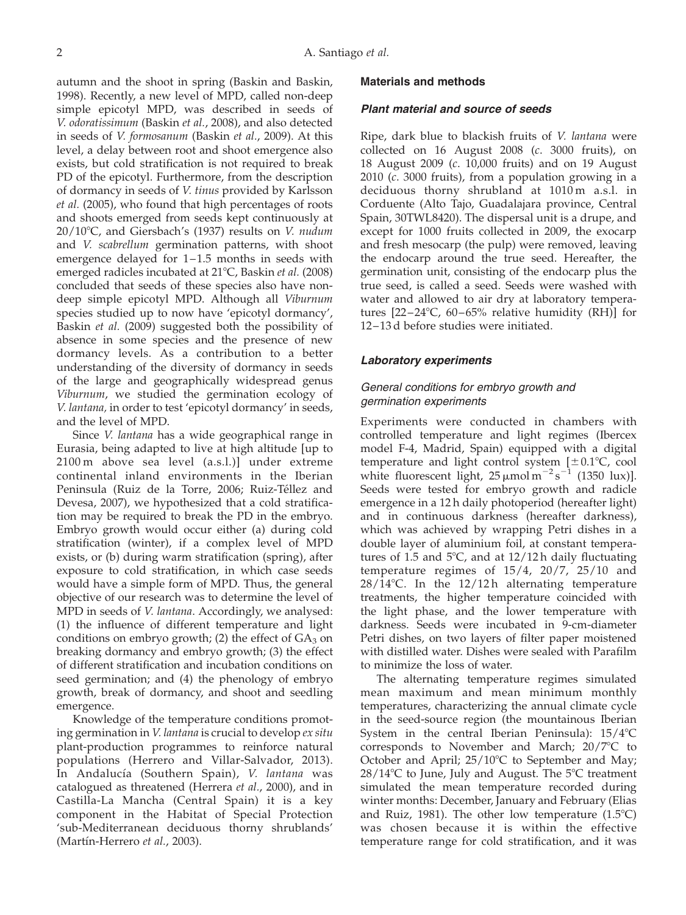autumn and the shoot in spring (Baskin and Baskin, 1998). Recently, a new level of MPD, called non-deep simple epicotyl MPD, was described in seeds of V. odoratissimum (Baskin et al., 2008), and also detected in seeds of V. formosanum (Baskin et al., 2009). At this level, a delay between root and shoot emergence also exists, but cold stratification is not required to break PD of the epicotyl. Furthermore, from the description of dormancy in seeds of V. tinus provided by Karlsson et al. (2005), who found that high percentages of roots and shoots emerged from seeds kept continuously at  $20/10^{\circ}$ C, and Giersbach's (1937) results on V. nudum and V. scabrellum germination patterns, with shoot emergence delayed for 1–1.5 months in seeds with emerged radicles incubated at 21°C, Baskin et al. (2008) concluded that seeds of these species also have nondeep simple epicotyl MPD. Although all Viburnum species studied up to now have 'epicotyl dormancy', Baskin et al. (2009) suggested both the possibility of absence in some species and the presence of new dormancy levels. As a contribution to a better understanding of the diversity of dormancy in seeds of the large and geographically widespread genus Viburnum, we studied the germination ecology of V. lantana, in order to test 'epicotyl dormancy' in seeds, and the level of MPD.

Since V. lantana has a wide geographical range in Eurasia, being adapted to live at high altitude [up to 2100 m above sea level (a.s.l.)] under extreme continental inland environments in the Iberian Peninsula (Ruiz de la Torre, 2006; Ruiz-Téllez and Devesa, 2007), we hypothesized that a cold stratification may be required to break the PD in the embryo. Embryo growth would occur either (a) during cold stratification (winter), if a complex level of MPD exists, or (b) during warm stratification (spring), after exposure to cold stratification, in which case seeds would have a simple form of MPD. Thus, the general objective of our research was to determine the level of MPD in seeds of V. lantana. Accordingly, we analysed: (1) the influence of different temperature and light conditions on embryo growth; (2) the effect of  $GA_3$  on breaking dormancy and embryo growth; (3) the effect of different stratification and incubation conditions on seed germination; and (4) the phenology of embryo growth, break of dormancy, and shoot and seedling emergence.

Knowledge of the temperature conditions promoting germination in V. lantana is crucial to develop ex situ plant-production programmes to reinforce natural populations (Herrero and Villar-Salvador, 2013). In Andalucía (Southern Spain), V. lantana was catalogued as threatened (Herrera et al., 2000), and in Castilla-La Mancha (Central Spain) it is a key component in the Habitat of Special Protection 'sub-Mediterranean deciduous thorny shrublands' (Martín-Herrero et al., 2003).

#### Materials and methods

#### Plant material and source of seeds

Ripe, dark blue to blackish fruits of V. lantana were collected on 16 August 2008 (c. 3000 fruits), on 18 August 2009 (c. 10,000 fruits) and on 19 August 2010 (c. 3000 fruits), from a population growing in a deciduous thorny shrubland at 1010 m a.s.l. in Corduente (Alto Tajo, Guadalajara province, Central Spain, 30TWL8420). The dispersal unit is a drupe, and except for 1000 fruits collected in 2009, the exocarp and fresh mesocarp (the pulp) were removed, leaving the endocarp around the true seed. Hereafter, the germination unit, consisting of the endocarp plus the true seed, is called a seed. Seeds were washed with water and allowed to air dry at laboratory temperatures  $[22-24^{\circ}\text{C}, 60-65\%$  relative humidity (RH)] for 12–13 d before studies were initiated.

#### Laboratory experiments

## General conditions for embryo growth and germination experiments

Experiments were conducted in chambers with controlled temperature and light regimes (Ibercex model F-4, Madrid, Spain) equipped with a digital temperature and light control system  $[\pm 0.1^{\circ}C, \text{cool}]$ white fluorescent light,  $25 \mu$ mol m<sup>-2</sup>s<sup>-1</sup> (1350 lux)]. Seeds were tested for embryo growth and radicle emergence in a 12 h daily photoperiod (hereafter light) and in continuous darkness (hereafter darkness), which was achieved by wrapping Petri dishes in a double layer of aluminium foil, at constant temperatures of 1.5 and 5 $\degree$ C, and at 12/12 h daily fluctuating temperature regimes of 15/4, 20/7, 25/10 and  $28/14$ °C. In the  $12/12$ h alternating temperature treatments, the higher temperature coincided with the light phase, and the lower temperature with darkness. Seeds were incubated in 9-cm-diameter Petri dishes, on two layers of filter paper moistened with distilled water. Dishes were sealed with Parafilm to minimize the loss of water.

The alternating temperature regimes simulated mean maximum and mean minimum monthly temperatures, characterizing the annual climate cycle in the seed-source region (the mountainous Iberian System in the central Iberian Peninsula):  $15/4$ °C corresponds to November and March;  $20/7^{\circ}C$  to October and April;  $25/10^{\circ}$ C to September and May;  $28/14$ °C to June, July and August. The 5°C treatment simulated the mean temperature recorded during winter months: December, January and February (Elias and Ruiz, 1981). The other low temperature  $(1.5^{\circ}C)$ was chosen because it is within the effective temperature range for cold stratification, and it was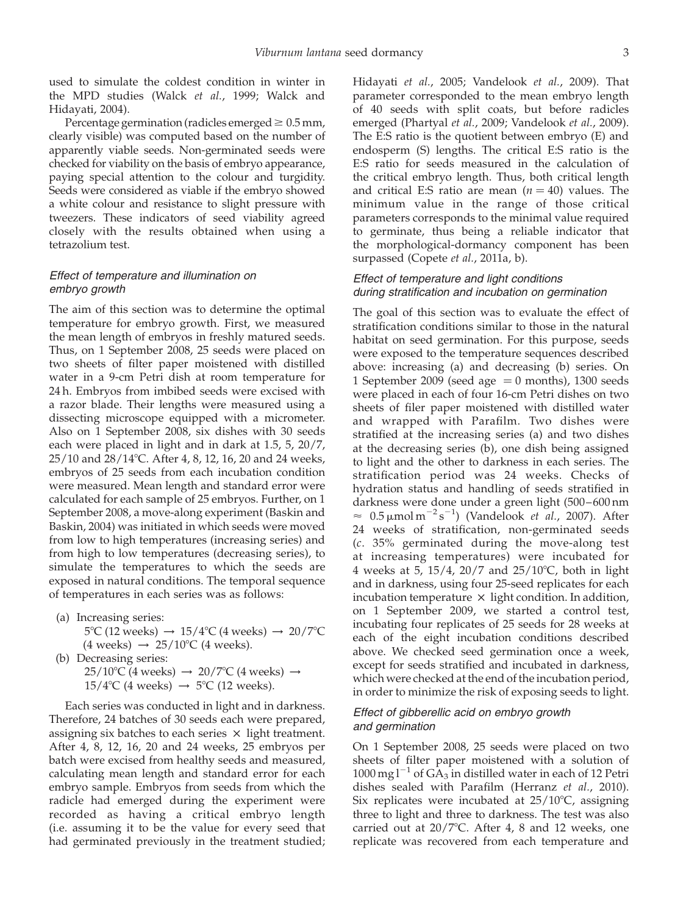used to simulate the coldest condition in winter in the MPD studies (Walck et al., 1999; Walck and Hidayati, 2004).

Percentage germination (radicles emerged  $\geq 0.5$  mm, clearly visible) was computed based on the number of apparently viable seeds. Non-germinated seeds were checked for viability on the basis of embryo appearance, paying special attention to the colour and turgidity. Seeds were considered as viable if the embryo showed a white colour and resistance to slight pressure with tweezers. These indicators of seed viability agreed closely with the results obtained when using a tetrazolium test.

## Effect of temperature and illumination on embryo growth

The aim of this section was to determine the optimal temperature for embryo growth. First, we measured the mean length of embryos in freshly matured seeds. Thus, on 1 September 2008, 25 seeds were placed on two sheets of filter paper moistened with distilled water in a 9-cm Petri dish at room temperature for 24 h. Embryos from imbibed seeds were excised with a razor blade. Their lengths were measured using a dissecting microscope equipped with a micrometer. Also on 1 September 2008, six dishes with 30 seeds each were placed in light and in dark at 1.5, 5, 20/7, 25/10 and 28/14°C. After 4, 8, 12, 16, 20 and 24 weeks, embryos of 25 seeds from each incubation condition were measured. Mean length and standard error were calculated for each sample of 25 embryos. Further, on 1 September 2008, a move-along experiment (Baskin and Baskin, 2004) was initiated in which seeds were moved from low to high temperatures (increasing series) and from high to low temperatures (decreasing series), to simulate the temperatures to which the seeds are exposed in natural conditions. The temporal sequence of temperatures in each series was as follows:

- (a) Increasing series:  $5^{\circ}$ C (12 weeks)  $\rightarrow 15/4^{\circ}$ C (4 weeks)  $\rightarrow 20/7^{\circ}$ C (4 weeks)  $\rightarrow$  25/10°C (4 weeks).
- (b) Decreasing series:  $25/10^{\circ}$ C (4 weeks)  $\rightarrow$  20/7<sup>o</sup>C (4 weeks)  $\rightarrow$  $15/4$ °C (4 weeks)  $\rightarrow$  5°C (12 weeks).

Each series was conducted in light and in darkness. Therefore, 24 batches of 30 seeds each were prepared, assigning six batches to each series  $\times$  light treatment. After 4, 8, 12, 16, 20 and 24 weeks, 25 embryos per batch were excised from healthy seeds and measured, calculating mean length and standard error for each embryo sample. Embryos from seeds from which the radicle had emerged during the experiment were recorded as having a critical embryo length (i.e. assuming it to be the value for every seed that had germinated previously in the treatment studied; Hidayati et al., 2005; Vandelook et al., 2009). That parameter corresponded to the mean embryo length of 40 seeds with split coats, but before radicles emerged (Phartyal et al., 2009; Vandelook et al., 2009). The E:S ratio is the quotient between embryo (E) and endosperm (S) lengths. The critical E:S ratio is the E:S ratio for seeds measured in the calculation of the critical embryo length. Thus, both critical length and critical E:S ratio are mean  $(n = 40)$  values. The minimum value in the range of those critical parameters corresponds to the minimal value required to germinate, thus being a reliable indicator that the morphological-dormancy component has been surpassed (Copete et al., 2011a, b).

## Effect of temperature and light conditions during stratification and incubation on germination

The goal of this section was to evaluate the effect of stratification conditions similar to those in the natural habitat on seed germination. For this purpose, seeds were exposed to the temperature sequences described above: increasing (a) and decreasing (b) series. On 1 September 2009 (seed age  $= 0$  months), 1300 seeds were placed in each of four 16-cm Petri dishes on two sheets of filer paper moistened with distilled water and wrapped with Parafilm. Two dishes were stratified at the increasing series (a) and two dishes at the decreasing series (b), one dish being assigned to light and the other to darkness in each series. The stratification period was 24 weeks. Checks of hydration status and handling of seeds stratified in darkness were done under a green light (500–600 nm  $\approx$  0.5  $\mu$ mol m<sup>-2</sup>s<sup>-1</sup>) (Vandelook *et al.*, 2007). After 24 weeks of stratification, non-germinated seeds (c. 35% germinated during the move-along test at increasing temperatures) were incubated for 4 weeks at 5,  $15/4$ ,  $20/7$  and  $25/10^{\circ}$ C, both in light and in darkness, using four 25-seed replicates for each incubation temperature  $\times$  light condition. In addition, on 1 September 2009, we started a control test, incubating four replicates of 25 seeds for 28 weeks at each of the eight incubation conditions described above. We checked seed germination once a week, except for seeds stratified and incubated in darkness, which were checked at the end of the incubation period, in order to minimize the risk of exposing seeds to light.

## Effect of gibberellic acid on embryo growth and germination

On 1 September 2008, 25 seeds were placed on two sheets of filter paper moistened with a solution of  $1000 \,\mathrm{mg}\,\mathrm{l}^{-1}$  of  $\overline{GA_3}$  in distilled water in each of 12 Petri dishes sealed with Parafilm (Herranz et al., 2010). Six replicates were incubated at  $25/10^{\circ}$ C, assigning three to light and three to darkness. The test was also carried out at  $20/7$ °C. After 4, 8 and 12 weeks, one replicate was recovered from each temperature and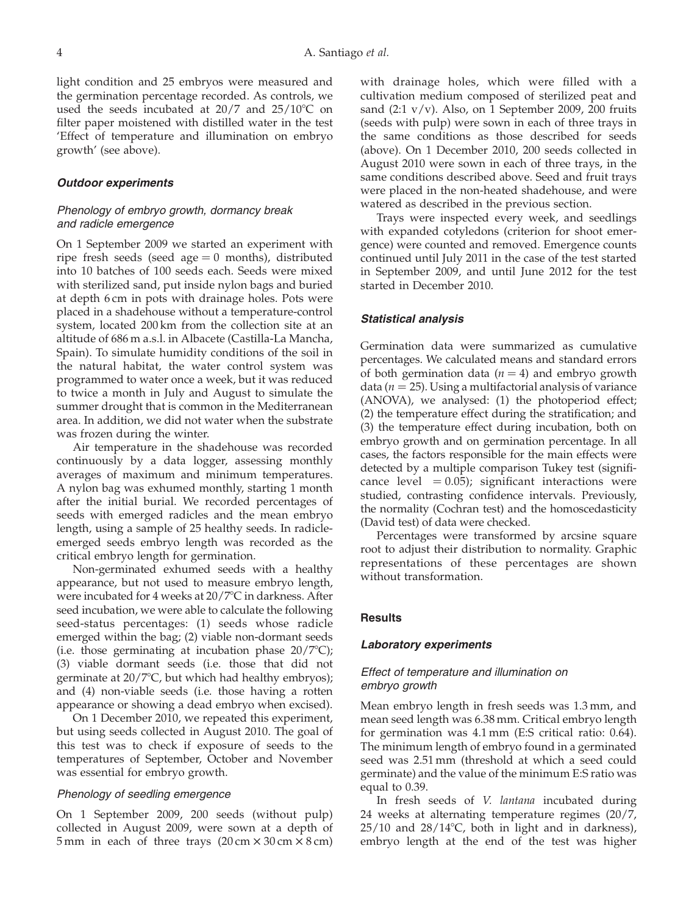light condition and 25 embryos were measured and the germination percentage recorded. As controls, we used the seeds incubated at  $20/7$  and  $25/10^{\circ}$ C on filter paper moistened with distilled water in the test 'Effect of temperature and illumination on embryo growth' (see above).

#### Outdoor experiments

#### Phenology of embryo growth, dormancy break and radicle emergence

On 1 September 2009 we started an experiment with ripe fresh seeds (seed age  $= 0$  months), distributed into 10 batches of 100 seeds each. Seeds were mixed with sterilized sand, put inside nylon bags and buried at depth 6 cm in pots with drainage holes. Pots were placed in a shadehouse without a temperature-control system, located 200 km from the collection site at an altitude of 686 m a.s.l. in Albacete (Castilla-La Mancha, Spain). To simulate humidity conditions of the soil in the natural habitat, the water control system was programmed to water once a week, but it was reduced to twice a month in July and August to simulate the summer drought that is common in the Mediterranean area. In addition, we did not water when the substrate was frozen during the winter.

Air temperature in the shadehouse was recorded continuously by a data logger, assessing monthly averages of maximum and minimum temperatures. A nylon bag was exhumed monthly, starting 1 month after the initial burial. We recorded percentages of seeds with emerged radicles and the mean embryo length, using a sample of 25 healthy seeds. In radicleemerged seeds embryo length was recorded as the critical embryo length for germination.

Non-germinated exhumed seeds with a healthy appearance, but not used to measure embryo length, were incubated for 4 weeks at 20/7°C in darkness. After seed incubation, we were able to calculate the following seed-status percentages: (1) seeds whose radicle emerged within the bag; (2) viable non-dormant seeds (i.e. those germinating at incubation phase  $20/7^{\circ}$ C); (3) viable dormant seeds (i.e. those that did not germinate at  $20/7^{\circ}$ C, but which had healthy embryos); and (4) non-viable seeds (i.e. those having a rotten appearance or showing a dead embryo when excised).

On 1 December 2010, we repeated this experiment, but using seeds collected in August 2010. The goal of this test was to check if exposure of seeds to the temperatures of September, October and November was essential for embryo growth.

#### Phenology of seedling emergence

On 1 September 2009, 200 seeds (without pulp) collected in August 2009, were sown at a depth of 5 mm in each of three trays  $(20 \text{ cm} \times 30 \text{ cm} \times 8 \text{ cm})$  with drainage holes, which were filled with a cultivation medium composed of sterilized peat and sand  $(2:1 \text{ v/v})$ . Also, on 1 September 2009, 200 fruits (seeds with pulp) were sown in each of three trays in the same conditions as those described for seeds (above). On 1 December 2010, 200 seeds collected in August 2010 were sown in each of three trays, in the same conditions described above. Seed and fruit trays were placed in the non-heated shadehouse, and were watered as described in the previous section.

Trays were inspected every week, and seedlings with expanded cotyledons (criterion for shoot emergence) were counted and removed. Emergence counts continued until July 2011 in the case of the test started in September 2009, and until June 2012 for the test started in December 2010.

#### Statistical analysis

Germination data were summarized as cumulative percentages. We calculated means and standard errors of both germination data ( $n = 4$ ) and embryo growth data ( $n = 25$ ). Using a multifactorial analysis of variance (ANOVA), we analysed: (1) the photoperiod effect; (2) the temperature effect during the stratification; and (3) the temperature effect during incubation, both on embryo growth and on germination percentage. In all cases, the factors responsible for the main effects were detected by a multiple comparison Tukey test (significance level  $= 0.05$ ); significant interactions were studied, contrasting confidence intervals. Previously, the normality (Cochran test) and the homoscedasticity (David test) of data were checked.

Percentages were transformed by arcsine square root to adjust their distribution to normality. Graphic representations of these percentages are shown without transformation.

#### **Results**

#### Laboratory experiments

#### Effect of temperature and illumination on embryo growth

Mean embryo length in fresh seeds was 1.3 mm, and mean seed length was 6.38 mm. Critical embryo length for germination was 4.1 mm (E:S critical ratio: 0.64). The minimum length of embryo found in a germinated seed was 2.51 mm (threshold at which a seed could germinate) and the value of the minimum E:S ratio was equal to 0.39.

In fresh seeds of V. lantana incubated during 24 weeks at alternating temperature regimes (20/7,  $25/10$  and  $28/14$ °C, both in light and in darkness), embryo length at the end of the test was higher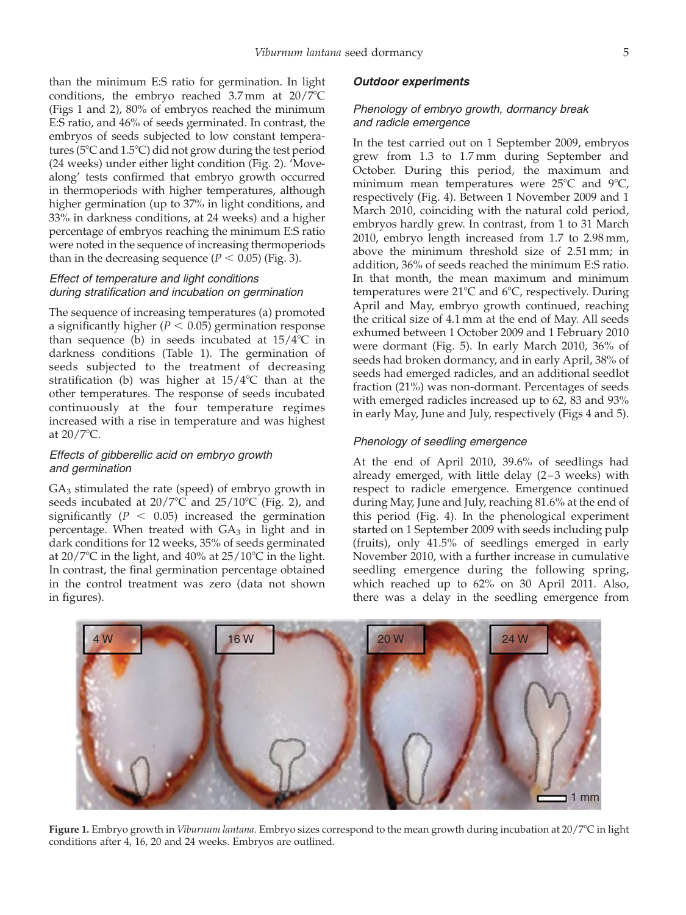than the minimum E:S ratio for germination. In light conditions, the embryo reached  $3.7 \text{ mm}$  at  $20/7^{\circ}\text{C}$ (Figs 1 and 2), 80% of embryos reached the minimum E:S ratio, and 46% of seeds germinated. In contrast, the embryos of seeds subjected to low constant temperatures ( $5^{\circ}$ C and  $1.5^{\circ}$ C) did not grow during the test period (24 weeks) under either light condition [\(Fig. 2\)](#page-6-0). 'Movealong' tests confirmed that embryo growth occurred in thermoperiods with higher temperatures, although higher germination (up to 37% in light conditions, and 33% in darkness conditions, at 24 weeks) and a higher percentage of embryos reaching the minimum E:S ratio were noted in the sequence of increasing thermoperiods than in the decreasing sequence ( $P < 0.05$ ) ([Fig. 3](#page-6-0)).

## Effect of temperature and light conditions during stratification and incubation on germination

The sequence of increasing temperatures (a) promoted a significantly higher ( $P < 0.05$ ) germination response than sequence (b) in seeds incubated at  $15/4$ °C in darkness conditions [\(Table 1\)](#page-7-0). The germination of seeds subjected to the treatment of decreasing stratification (b) was higher at  $15/4$ °C than at the other temperatures. The response of seeds incubated continuously at the four temperature regimes increased with a rise in temperature and was highest at  $20/7$ °C.

## Effects of gibberellic acid on embryo growth and germination

 $GA<sub>3</sub>$  stimulated the rate (speed) of embryo growth in seeds incubated at  $20/7^{\circ}$ C and  $25/10^{\circ}$ C [\(Fig. 2\)](#page-6-0), and significantly ( $P < 0.05$ ) increased the germination percentage. When treated with  $GA<sub>3</sub>$  in light and in dark conditions for 12 weeks, 35% of seeds germinated at  $20/7^{\circ}$ C in the light, and  $40\%$  at  $25/10^{\circ}$ C in the light. In contrast, the final germination percentage obtained in the control treatment was zero (data not shown in figures).

#### Outdoor experiments

## Phenology of embryo growth, dormancy break and radicle emergence

In the test carried out on 1 September 2009, embryos grew from 1.3 to 1.7 mm during September and October. During this period, the maximum and minimum mean temperatures were  $25^{\circ}$ C and  $9^{\circ}$ C, respectively ([Fig. 4](#page-8-0)). Between 1 November 2009 and 1 March 2010, coinciding with the natural cold period, embryos hardly grew. In contrast, from 1 to 31 March 2010, embryo length increased from 1.7 to 2.98 mm, above the minimum threshold size of 2.51 mm; in addition, 36% of seeds reached the minimum E:S ratio. In that month, the mean maximum and minimum temperatures were  $21^{\circ}$ C and  $6^{\circ}$ C, respectively. During April and May, embryo growth continued, reaching the critical size of 4.1 mm at the end of May. All seeds exhumed between 1 October 2009 and 1 February 2010 were dormant [\(Fig. 5](#page-9-0)). In early March 2010, 36% of seeds had broken dormancy, and in early April, 38% of seeds had emerged radicles, and an additional seedlot fraction (21%) was non-dormant. Percentages of seeds with emerged radicles increased up to 62, 83 and 93% in early May, June and July, respectively ([Figs 4 and 5](#page-8-0)).

## Phenology of seedling emergence

At the end of April 2010, 39.6% of seedlings had already emerged, with little delay (2–3 weeks) with respect to radicle emergence. Emergence continued during May, June and July, reaching 81.6% at the end of this period ([Fig. 4\)](#page-8-0). In the phenological experiment started on 1 September 2009 with seeds including pulp (fruits), only 41.5% of seedlings emerged in early November 2010, with a further increase in cumulative seedling emergence during the following spring, which reached up to 62% on 30 April 2011. Also, there was a delay in the seedling emergence from



4 W 16 W 16 W 20 W 20 W 24 W

Figure 1. Embryo growth in *Viburnum lantana*. Embryo sizes correspond to the mean growth during incubation at 20/7°C in light conditions after 4, 16, 20 and 24 weeks. Embryos are outlined.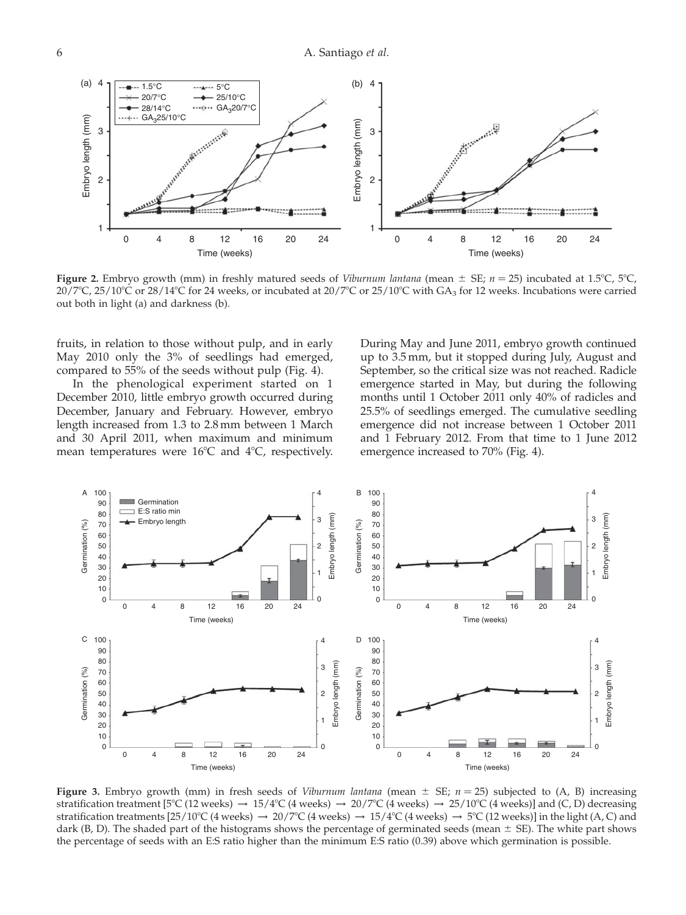<span id="page-6-0"></span>

Figure 2. Embryo growth (mm) in freshly matured seeds of *Viburnum lantana* (mean  $\pm$  SE;  $n = 25$ ) incubated at 1.5°C, 5°C,  $20/7^{\circ}$ C,  $25/10^{\circ}$ C or  $28/14^{\circ}$ C for 24 weeks, or incubated at  $20/7^{\circ}$ C or  $25/10^{\circ}$ C with GA<sub>3</sub> for 12 weeks. Incubations were carried out both in light (a) and darkness (b).

fruits, in relation to those without pulp, and in early May 2010 only the 3% of seedlings had emerged, compared to 55% of the seeds without pulp ([Fig. 4](#page-8-0)).

In the phenological experiment started on 1 December 2010, little embryo growth occurred during December, January and February. However, embryo length increased from 1.3 to 2.8 mm between 1 March and 30 April 2011, when maximum and minimum mean temperatures were  $16^{\circ}$ C and  $4^{\circ}$ C, respectively. During May and June 2011, embryo growth continued up to 3.5 mm, but it stopped during July, August and September, so the critical size was not reached. Radicle emergence started in May, but during the following months until 1 October 2011 only 40% of radicles and 25.5% of seedlings emerged. The cumulative seedling emergence did not increase between 1 October 2011 and 1 February 2012. From that time to 1 June 2012 emergence increased to 70% ([Fig. 4\)](#page-8-0).



Figure 3. Embryo growth (mm) in fresh seeds of *Viburnum lantana* (mean  $\pm$  SE;  $n = 25$ ) subjected to (A, B) increasing stratification treatment [5°C (12 weeks)  $\rightarrow 15/4$ °C (4 weeks)  $\rightarrow 20/7$ °C (4 weeks)  $\rightarrow 25/10$ °C (4 weeks)] and (C, D) decreasing stratification treatments [25/10°C (4 weeks)  $\rightarrow$  20/7°C (4 weeks)  $\rightarrow$  15/4°C (4 weeks)  $\rightarrow$  5°C (12 weeks)] in the light (A, C) and dark (B, D). The shaded part of the histograms shows the percentage of germinated seeds (mean  $\pm$  SE). The white part shows the percentage of seeds with an E:S ratio higher than the minimum E:S ratio (0.39) above which germination is possible.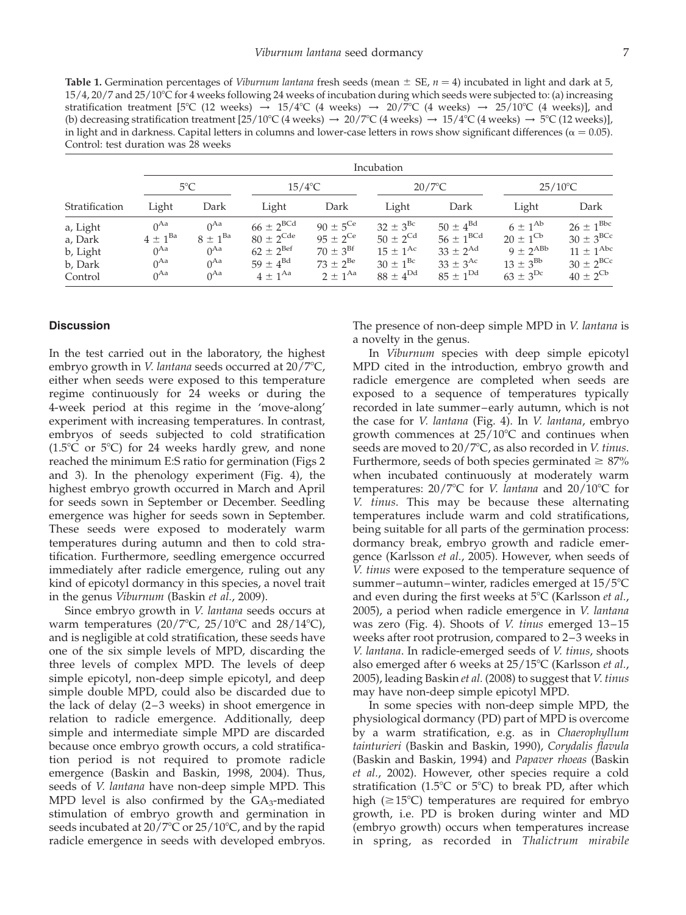<span id="page-7-0"></span>Table 1. Germination percentages of *Viburnum lantana* fresh seeds (mean  $\pm$  SE,  $n = 4$ ) incubated in light and dark at 5,  $15/4$ ,  $20/7$  and  $25/10^{\circ}$ C for 4 weeks following 24 weeks of incubation during which seeds were subjected to: (a) increasing stratification treatment [5°C (12 weeks)  $\rightarrow 15/4$ °C (4 weeks)  $\rightarrow 20/7$ °C (4 weeks)  $\rightarrow 25/10$ °C (4 weeks)], and (b) decreasing stratification treatment  $[25/10^{\circ}\text{C}$  (4 weeks)  $\rightarrow 20/7^{\circ}\text{C}$  (4 weeks)  $\rightarrow 15/4^{\circ}\text{C}$  (4 weeks)  $\rightarrow 5^{\circ}\text{C}$  (12 weeks)], in light and in darkness. Capital letters in columns and lower-case letters in rows show significant differences ( $\alpha = 0.05$ ). Control: test duration was 28 weeks

|                                                       | Incubation                                                     |                                                                |                                                                                                                  |                                                                                                        |                                                                                                          |                                                                                                         |                                                                                                   |                                                                                                                          |
|-------------------------------------------------------|----------------------------------------------------------------|----------------------------------------------------------------|------------------------------------------------------------------------------------------------------------------|--------------------------------------------------------------------------------------------------------|----------------------------------------------------------------------------------------------------------|---------------------------------------------------------------------------------------------------------|---------------------------------------------------------------------------------------------------|--------------------------------------------------------------------------------------------------------------------------|
|                                                       | $5^{\circ}$ C                                                  |                                                                | $15/4$ °C                                                                                                        |                                                                                                        | $20/7$ °C                                                                                                |                                                                                                         | $25/10^{\circ}$ C                                                                                 |                                                                                                                          |
| Stratification                                        | Light                                                          | Dark                                                           | Light                                                                                                            | Dark                                                                                                   | Light                                                                                                    | Dark                                                                                                    | Light                                                                                             | Dark                                                                                                                     |
| a, Light<br>a, Dark<br>b, Light<br>b, Dark<br>Control | $0^{Aa}$<br>$4 \pm 1^{Ba}$<br>$0^{Aa}$<br>$0^{Aa}$<br>$0^{Aa}$ | $0^{Aa}$<br>$8 \pm 1^{Ba}$<br>$0^{Aa}$<br>$0^{Aa}$<br>$0^{Aa}$ | $66 \pm 2^{\text{BCd}}$<br>$80 \pm 2^{\text{Cde}}$<br>$62 \pm 2^{\text{Bef}}$<br>$59 \pm 4^{Bd}$<br>$4 + 1^{Aa}$ | $90 \pm 5^{\text{Ce}}$<br>$95 \pm 2^{\text{Ce}}$<br>$70 \pm 3^{Bf}$<br>$73 \pm 2^{Be}$<br>$2 + 1^{Aa}$ | $32 \pm 3^{Bc}$<br>$50 \pm 2^{Cd}$<br>$15 \pm 1^{Ac}$<br>$30 \pm 1^{\rm Bc}$<br>$88 \pm 4^{\mathrm{Dd}}$ | $50 \pm 4^{Bd}$<br>$56 \pm 1^{\text{BCd}}$<br>$33 \pm 2^{Ad}$<br>$33 \pm 3^{Ac}$<br>$85 \pm 1^{\rm Dd}$ | $6 \pm 1^{Ab}$<br>$20 \pm 1^{\text{Cb}}$<br>$9 \pm 2^{ABb}$<br>$13 \pm 3^{Bb}$<br>$63 \pm 3^{Dc}$ | $26 \pm 1^{\rm Bbc}$<br>$30 \pm 3^{B C c}$<br>$11 \pm 1^{\text{Abc}}$<br>$30 \pm 2^{\text{BCc}}$<br>$40 \pm 2^{\rm{Cb}}$ |

#### **Discussion**

In the test carried out in the laboratory, the highest embryo growth in *V. lantana* seeds occurred at  $20/7^{\circ}C$ , either when seeds were exposed to this temperature regime continuously for 24 weeks or during the 4-week period at this regime in the 'move-along' experiment with increasing temperatures. In contrast, embryos of seeds subjected to cold stratification  $(1.5^{\circ}C)$  or 5°C) for 24 weeks hardly grew, and none reached the minimum E:S ratio for germination ([Figs 2](#page-6-0) [and 3](#page-6-0)). In the phenology experiment [\(Fig. 4\)](#page-8-0), the highest embryo growth occurred in March and April for seeds sown in September or December. Seedling emergence was higher for seeds sown in September. These seeds were exposed to moderately warm temperatures during autumn and then to cold stratification. Furthermore, seedling emergence occurred immediately after radicle emergence, ruling out any kind of epicotyl dormancy in this species, a novel trait in the genus Viburnum (Baskin et al., 2009).

Since embryo growth in V. lantana seeds occurs at warm temperatures  $(20/7^{\circ}C, 25/10^{\circ}C, 20/14^{\circ}C)$ , and is negligible at cold stratification, these seeds have one of the six simple levels of MPD, discarding the three levels of complex MPD. The levels of deep simple epicotyl, non-deep simple epicotyl, and deep simple double MPD, could also be discarded due to the lack of delay (2–3 weeks) in shoot emergence in relation to radicle emergence. Additionally, deep simple and intermediate simple MPD are discarded because once embryo growth occurs, a cold stratification period is not required to promote radicle emergence (Baskin and Baskin, 1998, 2004). Thus, seeds of V. lantana have non-deep simple MPD. This MPD level is also confirmed by the  $GA_3$ -mediated stimulation of embryo growth and germination in seeds incubated at  $20/7^{\circ}$ C or  $25/10^{\circ}$ C, and by the rapid radicle emergence in seeds with developed embryos. The presence of non-deep simple MPD in V. lantana is a novelty in the genus.

In Viburnum species with deep simple epicotyl MPD cited in the introduction, embryo growth and radicle emergence are completed when seeds are exposed to a sequence of temperatures typically recorded in late summer–early autumn, which is not the case for V. lantana ([Fig. 4](#page-8-0)). In V. lantana, embryo growth commences at  $25/10^{\circ}$ C and continues when seeds are moved to  $20/7^{\circ}$ C, as also recorded in *V. tinus*. Furthermore, seeds of both species germinated  $\geq 87\%$ when incubated continuously at moderately warm temperatures:  $20/7$ °C for *V. lantana* and  $20/10$ °C for V. tinus. This may be because these alternating temperatures include warm and cold stratifications, being suitable for all parts of the germination process: dormancy break, embryo growth and radicle emergence (Karlsson et al., 2005). However, when seeds of V. tinus were exposed to the temperature sequence of summer-autumn-winter, radicles emerged at 15/5°C and even during the first weeks at  $5^{\circ}$ C (Karlsson et al., 2005), a period when radicle emergence in V. lantana was zero ([Fig. 4\)](#page-8-0). Shoots of V. tinus emerged 13–15 weeks after root protrusion, compared to 2–3 weeks in V. lantana. In radicle-emerged seeds of V. tinus, shoots also emerged after 6 weeks at 25/15°C (Karlsson et al., 2005), leading Baskin et al. (2008) to suggest that V. tinus may have non-deep simple epicotyl MPD.

In some species with non-deep simple MPD, the physiological dormancy (PD) part of MPD is overcome by a warm stratification, e.g. as in Chaerophyllum tainturieri (Baskin and Baskin, 1990), Corydalis flavula (Baskin and Baskin, 1994) and Papaver rhoeas (Baskin et al., 2002). However, other species require a cold stratification (1.5 $\degree$ C or 5 $\degree$ C) to break PD, after which high ( $\geq$ 15°C) temperatures are required for embryo growth, i.e. PD is broken during winter and MD (embryo growth) occurs when temperatures increase in spring, as recorded in Thalictrum mirabile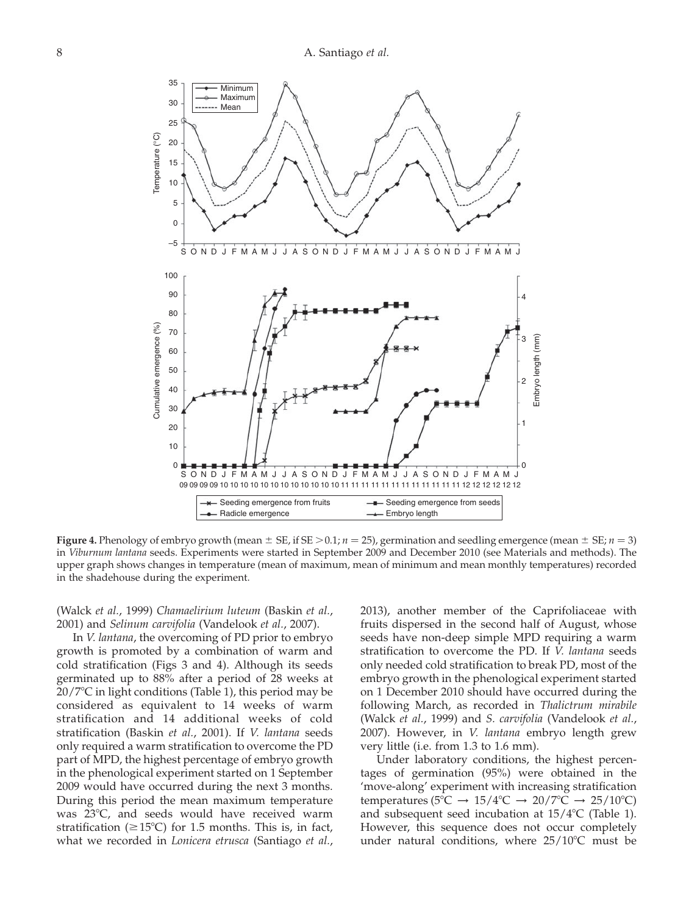<span id="page-8-0"></span>

**Figure 4.** Phenology of embryo growth (mean  $\pm$  SE, if SE > 0.1; n = 25), germination and seedling emergence (mean  $\pm$  SE; n = 3) in Viburnum lantana seeds. Experiments were started in September 2009 and December 2010 (see Materials and methods). The upper graph shows changes in temperature (mean of maximum, mean of minimum and mean monthly temperatures) recorded in the shadehouse during the experiment.

(Walck et al., 1999) Chamaelirium luteum (Baskin et al., 2001) and Selinum carvifolia (Vandelook et al., 2007).

In V. lantana, the overcoming of PD prior to embryo growth is promoted by a combination of warm and cold stratification [\(Figs 3 and 4](#page-6-0)). Although its seeds germinated up to 88% after a period of 28 weeks at  $20/7$ °C in light conditions [\(Table 1](#page-7-0)), this period may be considered as equivalent to 14 weeks of warm stratification and 14 additional weeks of cold stratification (Baskin et al., 2001). If V. lantana seeds only required a warm stratification to overcome the PD part of MPD, the highest percentage of embryo growth in the phenological experiment started on 1 September 2009 would have occurred during the next 3 months. During this period the mean maximum temperature was  $23^{\circ}$ C, and seeds would have received warm stratification ( $\geq$ 15°C) for 1.5 months. This is, in fact, what we recorded in Lonicera etrusca (Santiago et al., 2013), another member of the Caprifoliaceae with fruits dispersed in the second half of August, whose seeds have non-deep simple MPD requiring a warm stratification to overcome the PD. If V. lantana seeds only needed cold stratification to break PD, most of the embryo growth in the phenological experiment started on 1 December 2010 should have occurred during the following March, as recorded in Thalictrum mirabile (Walck et al., 1999) and S. carvifolia (Vandelook et al., 2007). However, in V. lantana embryo length grew very little (i.e. from 1.3 to 1.6 mm).

Under laboratory conditions, the highest percentages of germination (95%) were obtained in the 'move-along' experiment with increasing stratification temperatures (5°C  $\rightarrow$  15/4°C  $\rightarrow$  20/7°C  $\rightarrow$  25/10°C) and subsequent seed incubation at  $15/4$ °C [\(Table 1\)](#page-7-0). However, this sequence does not occur completely under natural conditions, where  $25/10^{\circ}$ C must be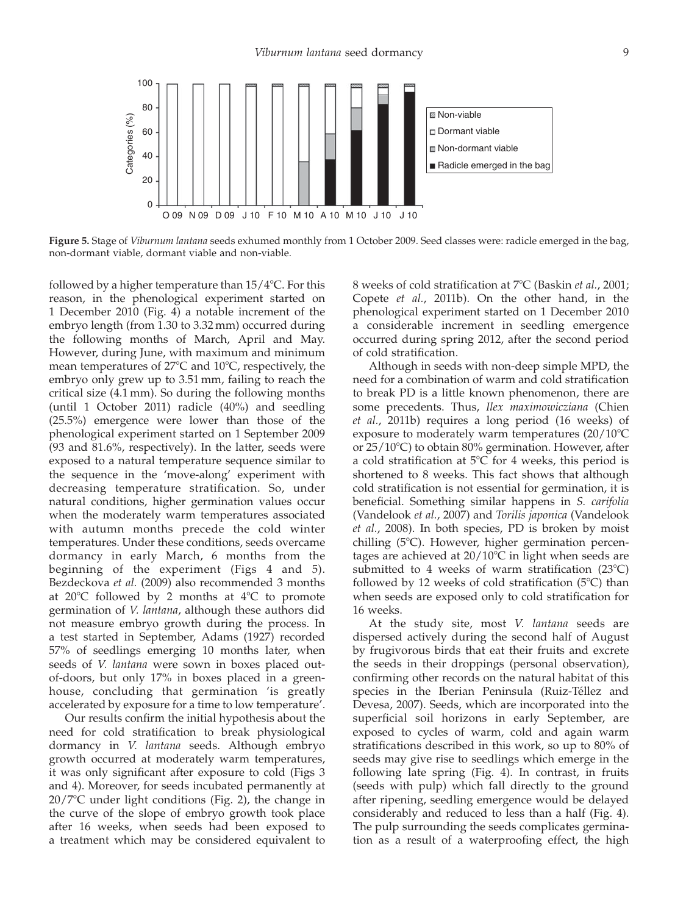<span id="page-9-0"></span>

Figure 5. Stage of Viburnum lantana seeds exhumed monthly from 1 October 2009. Seed classes were: radicle emerged in the bag, non-dormant viable, dormant viable and non-viable.

followed by a higher temperature than  $15/4$ °C. For this reason, in the phenological experiment started on 1 December 2010 [\(Fig. 4\)](#page-8-0) a notable increment of the embryo length (from 1.30 to 3.32 mm) occurred during the following months of March, April and May. However, during June, with maximum and minimum mean temperatures of  $27^{\circ}$ C and  $10^{\circ}$ C, respectively, the embryo only grew up to 3.51 mm, failing to reach the critical size (4.1 mm). So during the following months (until 1 October 2011) radicle (40%) and seedling (25.5%) emergence were lower than those of the phenological experiment started on 1 September 2009 (93 and 81.6%, respectively). In the latter, seeds were exposed to a natural temperature sequence similar to the sequence in the 'move-along' experiment with decreasing temperature stratification. So, under natural conditions, higher germination values occur when the moderately warm temperatures associated with autumn months precede the cold winter temperatures. Under these conditions, seeds overcame dormancy in early March, 6 months from the beginning of the experiment ([Figs 4 and 5](#page-8-0)). Bezdeckova et al. (2009) also recommended 3 months at  $20^{\circ}$ C followed by 2 months at  $4^{\circ}$ C to promote germination of V. lantana, although these authors did not measure embryo growth during the process. In a test started in September, Adams (1927) recorded 57% of seedlings emerging 10 months later, when seeds of V. lantana were sown in boxes placed outof-doors, but only 17% in boxes placed in a greenhouse, concluding that germination 'is greatly accelerated by exposure for a time to low temperature'.

Our results confirm the initial hypothesis about the need for cold stratification to break physiological dormancy in V. lantana seeds. Although embryo growth occurred at moderately warm temperatures, it was only significant after exposure to cold [\(Figs 3](#page-6-0) [and 4\)](#page-6-0). Moreover, for seeds incubated permanently at  $20/7$ °C under light conditions ([Fig. 2](#page-6-0)), the change in the curve of the slope of embryo growth took place after 16 weeks, when seeds had been exposed to a treatment which may be considered equivalent to 8 weeks of cold stratification at 7°C (Baskin et al., 2001; Copete et al., 2011b). On the other hand, in the phenological experiment started on 1 December 2010 a considerable increment in seedling emergence occurred during spring 2012, after the second period of cold stratification.

Although in seeds with non-deep simple MPD, the need for a combination of warm and cold stratification to break PD is a little known phenomenon, there are some precedents. Thus, Ilex maximowicziana (Chien et al., 2011b) requires a long period (16 weeks) of exposure to moderately warm temperatures  $(20/10^{\circ}C)$ or  $25/10^{\circ}$ C) to obtain 80% germination. However, after a cold stratification at  $5^{\circ}$ C for 4 weeks, this period is shortened to 8 weeks. This fact shows that although cold stratification is not essential for germination, it is beneficial. Something similar happens in S. carifolia (Vandelook et al., 2007) and Torilis japonica (Vandelook et al., 2008). In both species, PD is broken by moist chilling  $(5^{\circ}C)$ . However, higher germination percentages are achieved at  $20/10^{\circ}$ C in light when seeds are submitted to 4 weeks of warm stratification  $(23^{\circ}C)$ followed by 12 weeks of cold stratification  $(5^{\circ}C)$  than when seeds are exposed only to cold stratification for 16 weeks.

At the study site, most V. lantana seeds are dispersed actively during the second half of August by frugivorous birds that eat their fruits and excrete the seeds in their droppings (personal observation), confirming other records on the natural habitat of this species in the Iberian Peninsula (Ruiz-Téllez and Devesa, 2007). Seeds, which are incorporated into the superficial soil horizons in early September, are exposed to cycles of warm, cold and again warm stratifications described in this work, so up to 80% of seeds may give rise to seedlings which emerge in the following late spring ([Fig. 4](#page-8-0)). In contrast, in fruits (seeds with pulp) which fall directly to the ground after ripening, seedling emergence would be delayed considerably and reduced to less than a half [\(Fig. 4](#page-8-0)). The pulp surrounding the seeds complicates germination as a result of a waterproofing effect, the high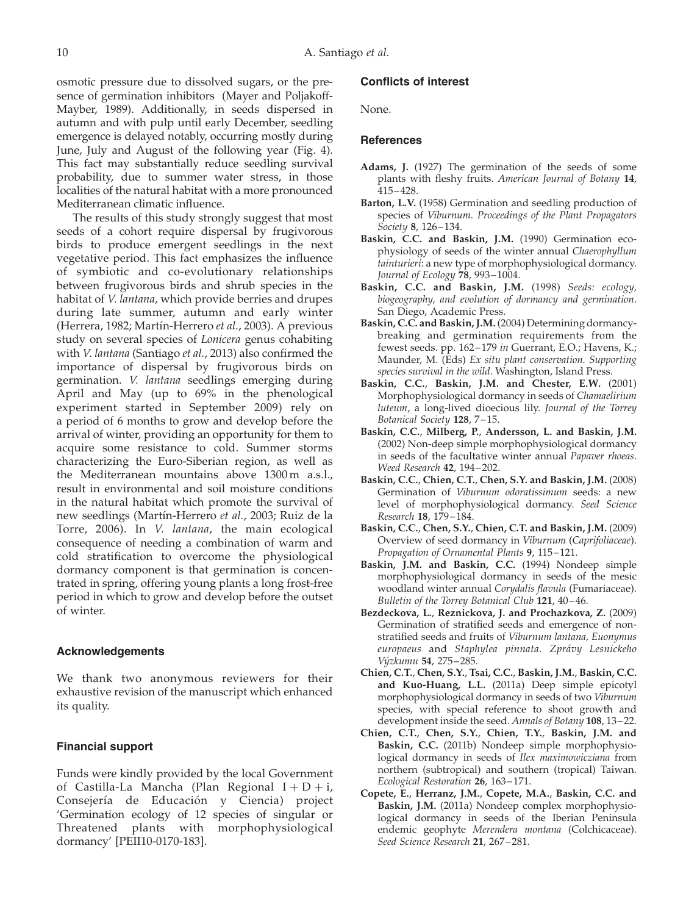osmotic pressure due to dissolved sugars, or the presence of germination inhibitors (Mayer and Poljakoff-Mayber, 1989). Additionally, in seeds dispersed in autumn and with pulp until early December, seedling emergence is delayed notably, occurring mostly during June, July and August of the following year [\(Fig. 4](#page-8-0)). This fact may substantially reduce seedling survival probability, due to summer water stress, in those localities of the natural habitat with a more pronounced Mediterranean climatic influence.

The results of this study strongly suggest that most seeds of a cohort require dispersal by frugivorous birds to produce emergent seedlings in the next vegetative period. This fact emphasizes the influence of symbiotic and co-evolutionary relationships between frugivorous birds and shrub species in the habitat of V. lantana, which provide berries and drupes during late summer, autumn and early winter (Herrera, 1982; Martín-Herrero et al., 2003). A previous study on several species of Lonicera genus cohabiting with V. lantana (Santiago et al., 2013) also confirmed the importance of dispersal by frugivorous birds on germination. V. lantana seedlings emerging during April and May (up to 69% in the phenological experiment started in September 2009) rely on a period of 6 months to grow and develop before the arrival of winter, providing an opportunity for them to acquire some resistance to cold. Summer storms characterizing the Euro-Siberian region, as well as the Mediterranean mountains above 1300 m a.s.l., result in environmental and soil moisture conditions in the natural habitat which promote the survival of new seedlings (Martín-Herrero et al., 2003; Ruiz de la Torre, 2006). In V. lantana, the main ecological consequence of needing a combination of warm and cold stratification to overcome the physiological dormancy component is that germination is concentrated in spring, offering young plants a long frost-free period in which to grow and develop before the outset of winter.

#### Acknowledgements

We thank two anonymous reviewers for their exhaustive revision of the manuscript which enhanced its quality.

#### Financial support

Funds were kindly provided by the local Government of Castilla-La Mancha (Plan Regional  $I + D + i$ , Consejería de Educación y Ciencia) project 'Germination ecology of 12 species of singular or Threatened plants with morphophysiological dormancy' [PEII10-0170-183].

#### Conflicts of interest

None.

#### **References**

- Adams, J. (1927) The germination of the seeds of some plants with fleshy fruits. American Journal of Botany 14, 415–428.
- Barton, L.V. (1958) Germination and seedling production of species of Viburnum. Proceedings of the Plant Propagators Society 8, 126–134.
- Baskin, C.C. and Baskin, J.M. (1990) Germination ecophysiology of seeds of the winter annual Chaerophyllum tainturieri: a new type of morphophysiological dormancy. Journal of Ecology 78, 993–1004.
- Baskin, C.C. and Baskin, J.M. (1998) Seeds: ecology, biogeography, and evolution of dormancy and germination. San Diego, Academic Press.
- Baskin, C.C. and Baskin, J.M. (2004) Determining dormancybreaking and germination requirements from the fewest seeds. pp. 162–179 in Guerrant, E.O.; Havens, K.; Maunder, M. (Eds) Ex situ plant conservation. Supporting species survival in the wild. Washington, Island Press.
- Baskin, C.C., Baskin, J.M. and Chester, E.W. (2001) Morphophysiological dormancy in seeds of Chamaelirium luteum, a long-lived dioecious lily. Journal of the Torrey Botanical Society 128, 7–15.
- Baskin, C.C., Milberg, P., Andersson, L. and Baskin, J.M. (2002) Non-deep simple morphophysiological dormancy in seeds of the facultative winter annual Papaver rhoeas. Weed Research 42, 194–202.
- Baskin, C.C., Chien, C.T., Chen, S.Y. and Baskin, J.M. (2008) Germination of Viburnum odoratissimum seeds: a new level of morphophysiological dormancy. Seed Science Research 18, 179–184.
- Baskin, C.C., Chen, S.Y., Chien, C.T. and Baskin, J.M. (2009) Overview of seed dormancy in Viburnum (Caprifoliaceae). Propagation of Ornamental Plants 9, 115–121.
- Baskin, J.M. and Baskin, C.C. (1994) Nondeep simple morphophysiological dormancy in seeds of the mesic woodland winter annual Corydalis flavula (Fumariaceae). Bulletin of the Torrey Botanical Club 121, 40–46.
- Bezdeckova, L., Reznickova, J. and Prochazkova, Z. (2009) Germination of stratified seeds and emergence of nonstratified seeds and fruits of Viburnum lantana, Euonymus europaeus and Staphylea pinnata. Zprávy Lesnickeho Výzkumu 54, 275-285.
- Chien, C.T., Chen, S.Y., Tsai, C.C., Baskin, J.M., Baskin, C.C. and Kuo-Huang, L.L. (2011a) Deep simple epicotyl morphophysiological dormancy in seeds of two Viburnum species, with special reference to shoot growth and development inside the seed. Annals of Botany 108, 13–22.
- Chien, C.T., Chen, S.Y., Chien, T.Y., Baskin, J.M. and Baskin, C.C. (2011b) Nondeep simple morphophysiological dormancy in seeds of Ilex maximowicziana from northern (subtropical) and southern (tropical) Taiwan. Ecological Restoration 26, 163–171.
- Copete, E., Herranz, J.M., Copete, M.A., Baskin, C.C. and Baskin, J.M. (2011a) Nondeep complex morphophysiological dormancy in seeds of the Iberian Peninsula endemic geophyte Merendera montana (Colchicaceae). Seed Science Research 21, 267–281.